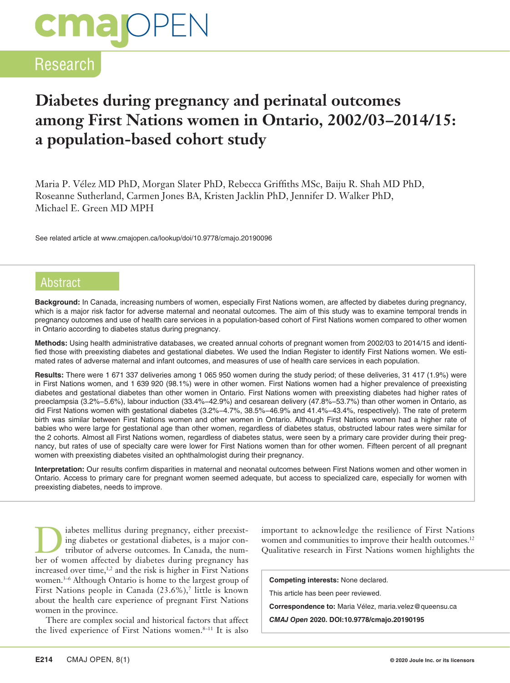# **CMal**OPEN

# Research

# **Diabetes during pregnancy and perinatal outcomes among First Nations women in Ontario, 2002/03–2014/15: a population-based cohort study**

Maria P. Vélez MD PhD, Morgan Slater PhD, Rebecca Griffiths MSc, Baiju R. Shah MD PhD, Roseanne Sutherland, Carmen Jones BA, Kristen Jacklin PhD, Jennifer D. Walker PhD, Michael E. Green MD MPH

See related article at www.cmajopen.ca/lookup/doi/10.9778/cmajo.20190096

## Abstract

**Background:** In Canada, increasing numbers of women, especially First Nations women, are affected by diabetes during pregnancy, which is a major risk factor for adverse maternal and neonatal outcomes. The aim of this study was to examine temporal trends in pregnancy outcomes and use of health care services in a population-based cohort of First Nations women compared to other women in Ontario according to diabetes status during pregnancy.

**Methods:** Using health administrative databases, we created annual cohorts of pregnant women from 2002/03 to 2014/15 and identified those with preexisting diabetes and gestational diabetes. We used the Indian Register to identify First Nations women. We estimated rates of adverse maternal and infant outcomes, and measures of use of health care services in each population.

**Results:** There were 1 671 337 deliveries among 1 065 950 women during the study period; of these deliveries, 31 417 (1.9%) were in First Nations women, and 1 639 920 (98.1%) were in other women. First Nations women had a higher prevalence of preexisting diabetes and gestational diabetes than other women in Ontario. First Nations women with preexisting diabetes had higher rates of preeclampsia (3.2%−5.6%), labour induction (33.4%−42.9%) and cesarean delivery (47.8%−53.7%) than other women in Ontario, as did First Nations women with gestational diabetes (3.2%−4.7%, 38.5%−46.9% and 41.4%−43.4%, respectively). The rate of preterm birth was similar between First Nations women and other women in Ontario. Although First Nations women had a higher rate of babies who were large for gestational age than other women, regardless of diabetes status, obstructed labour rates were similar for the 2 cohorts. Almost all First Nations women, regardless of diabetes status, were seen by a primary care provider during their pregnancy, but rates of use of specialty care were lower for First Nations women than for other women. Fifteen percent of all pregnant women with preexisting diabetes visited an ophthalmologist during their pregnancy.

**Interpretation:** Our results confirm disparities in maternal and neonatal outcomes between First Nations women and other women in Ontario. Access to primary care for pregnant women seemed adequate, but access to specialized care, especially for women with preexisting diabetes, needs to improve.

I abetes mellitus during pregnancy, either preexist-<br>ing diabetes or gestational diabetes, is a major con-<br>tributor of adverse outcomes. In Canada, the num-<br>her of women affected by diabetes during pregnancy has ing diabetes or gestational diabetes, is a major contributor of adverse outcomes. In Canada, the number of women affected by diabetes during pregnancy has increased over time,<sup>1,2</sup> and the risk is higher in First Nations women.3–6 Although Ontario is home to the largest group of First Nations people in Canada (23.6%),<sup>7</sup> little is known about the health care experience of pregnant First Nations women in the province.

There are complex social and historical factors that affect the lived experience of First Nations women.<sup>8-11</sup> It is also

important to acknowledge the resilience of First Nations women and communities to improve their health outcomes.<sup>12</sup> Qualitative research in First Nations women highlights the

**Competing interests:** None declared.

This article has been peer reviewed.

**Correspondence to:** Maria Vélez, maria.velez@queensu.ca

*CMAJ Open* **2020. DOI:10.9778/cmajo.20190195**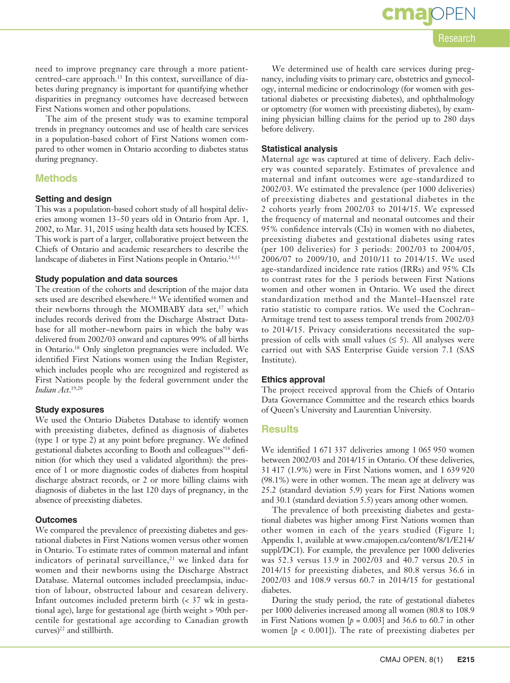CMAJ OPEN, 8(1) **E215**

#### need to improve pregnancy care through a more patientcentred–care approach.13 In this context, surveillance of diabetes during pregnancy is important for quantifying whether disparities in pregnancy outcomes have decreased between First Nations women and other populations.

The aim of the present study was to examine temporal trends in pregnancy outcomes and use of health care services in a population-based cohort of First Nations women compared to other women in Ontario according to diabetes status during pregnancy.

### **Methods**

#### **Setting and design**

This was a population-based cohort study of all hospital deliveries among women 13–50 years old in Ontario from Apr. 1, 2002, to Mar. 31, 2015 using health data sets housed by ICES. This work is part of a larger, collaborative project between the Chiefs of Ontario and academic researchers to describe the landscape of diabetes in First Nations people in Ontario.<sup>14,15</sup>

#### **Study population and data sources**

The creation of the cohorts and description of the major data sets used are described elsewhere.<sup>16</sup> We identified women and their newborns through the MOMBABY data set,<sup>17</sup> which includes records derived from the Discharge Abstract Database for all mother−newborn pairs in which the baby was delivered from 2002/03 onward and captures 99% of all births in Ontario.18 Only singleton pregnancies were included. We identified First Nations women using the Indian Register, which includes people who are recognized and registered as First Nations people by the federal government under the *Indian Act*. 19,20

#### **Study exposures**

We used the Ontario Diabetes Database to identify women with preexisting diabetes, defined as diagnosis of diabetes (type 1 or type 2) at any point before pregnancy. We defined gestational diabetes according to Booth and colleagues'18 definition (for which they used a validated algorithm): the presence of 1 or more diagnostic codes of diabetes from hospital discharge abstract records, or 2 or more billing claims with diagnosis of diabetes in the last 120 days of pregnancy, in the absence of preexisting diabetes.

#### **Outcomes**

We compared the prevalence of preexisting diabetes and gestational diabetes in First Nations women versus other women in Ontario. To estimate rates of common maternal and infant indicators of perinatal surveillance, $21$  we linked data for women and their newborns using the Discharge Abstract Database. Maternal outcomes included preeclampsia, induction of labour, obstructed labour and cesarean delivery. Infant outcomes included preterm birth (< 37 wk in gestational age), large for gestational age (birth weight > 90th percentile for gestational age according to Canadian growth curves)<sup>22</sup> and stillbirth.

We determined use of health care services during pregnancy, including visits to primary care, obstetrics and gynecology, internal medicine or endocrinology (for women with gestational diabetes or preexisting diabetes), and ophthalmology or optometry (for women with preexisting diabetes), by examining physician billing claims for the period up to 280 days before delivery.

#### **Statistical analysis**

Maternal age was captured at time of delivery. Each delivery was counted separately. Estimates of prevalence and maternal and infant outcomes were age-standardized to 2002/03. We estimated the prevalence (per 1000 deliveries) of preexisting diabetes and gestational diabetes in the 2 cohorts yearly from 2002/03 to 2014/15. We expressed the frequency of maternal and neonatal outcomes and their 95% confidence intervals (CIs) in women with no diabetes, preexisting diabetes and gestational diabetes using rates (per 100 deliveries) for 3 periods: 2002/03 to 2004/05, 2006/07 to 2009/10, and 2010/11 to 2014/15. We used age-standardized incidence rate ratios (IRRs) and 95% CIs to contrast rates for the 3 periods between First Nations women and other women in Ontario. We used the direct standardization method and the Mantel–Haenszel rate ratio statistic to compare ratios. We used the Cochran– Armitage trend test to assess temporal trends from 2002/03 to 2014/15. Privacy considerations necessitated the suppression of cells with small values  $(≤ 5)$ . All analyses were carried out with SAS Enterprise Guide version 7.1 (SAS Institute).

#### **Ethics approval**

The project received approval from the Chiefs of Ontario Data Governance Committee and the research ethics boards of Queen's University and Laurentian University.

#### **Results**

We identified 1 671 337 deliveries among 1 065 950 women between 2002/03 and 2014/15 in Ontario. Of these deliveries, 31 417 (1.9%) were in First Nations women, and 1 639 920 (98.1%) were in other women. The mean age at delivery was 25.2 (standard deviation 5.9) years for First Nations women and 30.1 (standard deviation 5.5) years among other women.

The prevalence of both preexisting diabetes and gestational diabetes was higher among First Nations women than other women in each of the years studied (Figure 1; Appendix 1, available at www.cmajopen.ca/content/8/1/E214/ suppl/DC1). For example, the prevalence per 1000 deliveries was 52.3 versus 13.9 in 2002/03 and 40.7 versus 20.5 in 2014/15 for preexisting diabetes, and 80.8 versus 36.6 in 2002/03 and 108.9 versus 60.7 in 2014/15 for gestational diabetes.

During the study period, the rate of gestational diabetes per 1000 deliveries increased among all women (80.8 to 108.9 in First Nations women  $[p = 0.003]$  and 36.6 to 60.7 in other women  $[p \lt 0.001]$ . The rate of preexisting diabetes per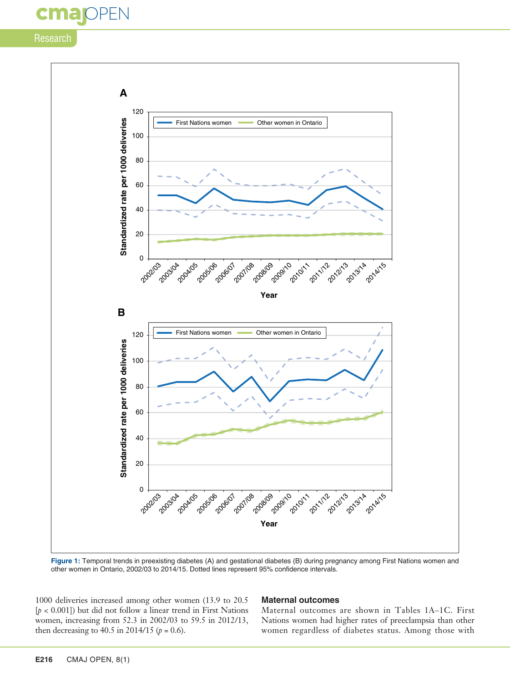# FN CM

## **Research**



**Figure 1:** Temporal trends in preexisting diabetes (A) and gestational diabetes (B) during pregnancy among First Nations women and other women in Ontario, 2002/03 to 2014/15. Dotted lines represent 95% confidence intervals.

1000 deliveries increased among other women (13.9 to 20.5 [*p* < 0.001]) but did not follow a linear trend in First Nations women, increasing from 52.3 in 2002/03 to 59.5 in 2012/13, then decreasing to 40.5 in 2014/15 ( $p = 0.6$ ).

#### **Maternal outcomes**

Maternal outcomes are shown in Tables 1A–1C. First Nations women had higher rates of preeclampsia than other women regardless of diabetes status. Among those with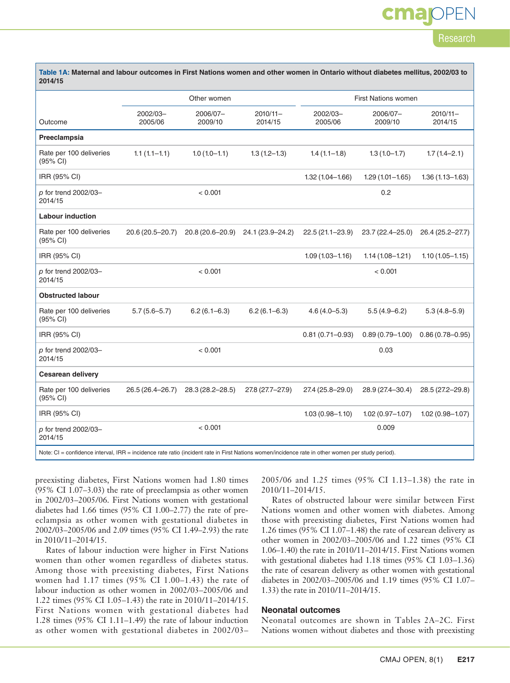# **OPEN** cma

# Research

| Table 1A: Maternal and labour outcomes in First Nations women and other women in Ontario without diabetes mellitus, 2002/03 to<br>2014/15         |                     |                     |                        |                            |                     |                        |
|---------------------------------------------------------------------------------------------------------------------------------------------------|---------------------|---------------------|------------------------|----------------------------|---------------------|------------------------|
|                                                                                                                                                   |                     | Other women         |                        | <b>First Nations women</b> |                     |                        |
| Outcome                                                                                                                                           | 2002/03-<br>2005/06 | 2006/07-<br>2009/10 | $2010/11 -$<br>2014/15 | 2002/03-<br>2005/06        | 2006/07-<br>2009/10 | $2010/11 -$<br>2014/15 |
| Preeclampsia                                                                                                                                      |                     |                     |                        |                            |                     |                        |
| Rate per 100 deliveries<br>$(95% \text{ Cl})$                                                                                                     | $1.1(1.1 - 1.1)$    | $1.0(1.0-1.1)$      | $1.3(1.2 - 1.3)$       | $1.4(1.1-1.8)$             | $1.3(1.0-1.7)$      | $1.7(1.4 - 2.1)$       |
| IRR (95% CI)                                                                                                                                      |                     |                     |                        | $1.32(1.04 - 1.66)$        | $1.29(1.01 - 1.65)$ | $1.36(1.13 - 1.63)$    |
| p for trend 2002/03-<br>2014/15                                                                                                                   |                     | < 0.001             |                        |                            | 0.2                 |                        |
| <b>Labour induction</b>                                                                                                                           |                     |                     |                        |                            |                     |                        |
| Rate per 100 deliveries<br>(95% CI)                                                                                                               | 20.6 (20.5-20.7)    | 20.8 (20.6-20.9)    | 24.1 (23.9-24.2)       | $22.5(21.1 - 23.9)$        | 23.7 (22.4-25.0)    | 26.4 (25.2-27.7)       |
| IRR (95% CI)                                                                                                                                      |                     |                     |                        | $1.09(1.03 - 1.16)$        | $1.14(1.08 - 1.21)$ | $1.10(1.05 - 1.15)$    |
| p for trend 2002/03-<br>2014/15                                                                                                                   |                     | < 0.001             |                        |                            | < 0.001             |                        |
| <b>Obstructed labour</b>                                                                                                                          |                     |                     |                        |                            |                     |                        |
| Rate per 100 deliveries<br>(95% CI)                                                                                                               | $5.7(5.6 - 5.7)$    | $6.2(6.1 - 6.3)$    | $6.2(6.1 - 6.3)$       | $4.6(4.0 - 5.3)$           | $5.5(4.9 - 6.2)$    | $5.3(4.8 - 5.9)$       |
| IRR (95% CI)                                                                                                                                      |                     |                     |                        | $0.81(0.71 - 0.93)$        | $0.89(0.79 - 1.00)$ | $0.86(0.78 - 0.95)$    |
| p for trend 2002/03-<br>2014/15                                                                                                                   |                     | < 0.001             |                        |                            | 0.03                |                        |
| Cesarean delivery                                                                                                                                 |                     |                     |                        |                            |                     |                        |
| Rate per 100 deliveries<br>(95% CI)                                                                                                               | 26.5 (26.4-26.7)    | 28.3 (28.2-28.5)    | 27.8 (27.7-27.9)       | 27.4 (25.8–29.0)           | 28.9 (27.4-30.4)    | 28.5 (27.2-29.8)       |
| IRR (95% CI)                                                                                                                                      |                     |                     |                        | $1.03(0.98 - 1.10)$        | $1.02(0.97 - 1.07)$ | $1.02(0.98 - 1.07)$    |
| p for trend 2002/03-<br>2014/15                                                                                                                   |                     | < 0.001             |                        |                            | 0.009               |                        |
| Note: CI = confidence interval, IRR = incidence rate ratio (incident rate in First Nations women/incidence rate in other women per study period). |                     |                     |                        |                            |                     |                        |

preexisting diabetes, First Nations women had 1.80 times (95% CI 1.07–3.03) the rate of preeclampsia as other women in 2002/03–2005/06. First Nations women with gestational diabetes had 1.66 times (95% CI 1.00–2.77) the rate of preeclampsia as other women with gestational diabetes in 2002/03–2005/06 and 2.09 times (95% CI 1.49–2.93) the rate in 2010/11–2014/15.

Rates of labour induction were higher in First Nations women than other women regardless of diabetes status. Among those with preexisting diabetes, First Nations women had  $1.17$  times (95% CI 1.00–1.43) the rate of labour induction as other women in 2002/03–2005/06 and 1.22 times (95% CI 1.05–1.43) the rate in 2010/11–2014/15. First Nations women with gestational diabetes had 1.28 times (95% CI 1.11–1.49) the rate of labour induction as other women with gestational diabetes in 2002/03–

2005/06 and 1.25 times (95% CI 1.13–1.38) the rate in 2010/11–2014/15.

Rates of obstructed labour were similar between First Nations women and other women with diabetes. Among those with preexisting diabetes, First Nations women had 1.26 times (95% CI 1.07–1.48) the rate of cesarean delivery as other women in 2002/03–2005/06 and 1.22 times (95% CI 1.06–1.40) the rate in 2010/11–2014/15. First Nations women with gestational diabetes had 1.18 times (95% CI 1.03–1.36) the rate of cesarean delivery as other women with gestational diabetes in 2002/03–2005/06 and 1.19 times (95% CI 1.07– 1.33) the rate in 2010/11–2014/15.

#### **Neonatal outcomes**

Neonatal outcomes are shown in Tables 2A–2C. First Nations women without diabetes and those with preexisting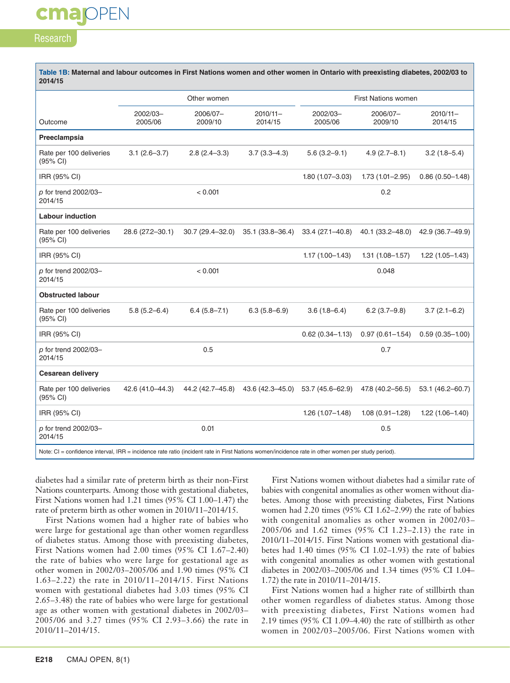# cmapPEN

### Research

| Table 1B: Maternal and labour outcomes in First Nations women and other women in Ontario with preexisting diabetes, 2002/03 to<br>2014/15         |                     |                     |                        |                            |                     |                        |
|---------------------------------------------------------------------------------------------------------------------------------------------------|---------------------|---------------------|------------------------|----------------------------|---------------------|------------------------|
|                                                                                                                                                   |                     | Other women         |                        | <b>First Nations women</b> |                     |                        |
| Outcome                                                                                                                                           | 2002/03-<br>2005/06 | 2006/07-<br>2009/10 | $2010/11 -$<br>2014/15 | 2002/03-<br>2005/06        | 2006/07-<br>2009/10 | $2010/11 -$<br>2014/15 |
| Preeclampsia                                                                                                                                      |                     |                     |                        |                            |                     |                        |
| Rate per 100 deliveries<br>$(95% \text{ Cl})$                                                                                                     | $3.1(2.6 - 3.7)$    | $2.8(2.4 - 3.3)$    | $3.7(3.3 - 4.3)$       | $5.6(3.2 - 9.1)$           | $4.9(2.7 - 8.1)$    | $3.2(1.8 - 5.4)$       |
| IRR (95% CI)                                                                                                                                      |                     |                     |                        | $1.80(1.07 - 3.03)$        | $1.73(1.01 - 2.95)$ | $0.86(0.50 - 1.48)$    |
| p for trend 2002/03-<br>2014/15                                                                                                                   |                     | < 0.001             |                        |                            | 0.2                 |                        |
| <b>Labour induction</b>                                                                                                                           |                     |                     |                        |                            |                     |                        |
| Rate per 100 deliveries<br>(95% CI)                                                                                                               | 28.6 (27.2-30.1)    | 30.7 (29.4-32.0)    | 35.1 (33.8-36.4)       | $33.4(27.1 - 40.8)$        | 40.1 (33.2-48.0)    | 42.9 (36.7-49.9)       |
| IRR (95% CI)                                                                                                                                      |                     |                     |                        | $1.17(1.00 - 1.43)$        | $1.31(1.08 - 1.57)$ | $1.22(1.05 - 1.43)$    |
| p for trend 2002/03-<br>2014/15                                                                                                                   |                     | < 0.001             |                        |                            | 0.048               |                        |
| <b>Obstructed labour</b>                                                                                                                          |                     |                     |                        |                            |                     |                        |
| Rate per 100 deliveries<br>(95% CI)                                                                                                               | $5.8(5.2 - 6.4)$    | $6.4(5.8 - 7.1)$    | $6.3(5.8 - 6.9)$       | $3.6(1.8 - 6.4)$           | $6.2(3.7-9.8)$      | $3.7(2.1 - 6.2)$       |
| IRR (95% CI)                                                                                                                                      |                     |                     |                        | $0.62(0.34 - 1.13)$        | $0.97(0.61 - 1.54)$ | $0.59(0.35 - 1.00)$    |
| p for trend 2002/03-<br>2014/15                                                                                                                   |                     | 0.5                 |                        |                            | 0.7                 |                        |
| <b>Cesarean delivery</b>                                                                                                                          |                     |                     |                        |                            |                     |                        |
| Rate per 100 deliveries<br>(95% CI)                                                                                                               | 42.6 (41.0-44.3)    | 44.2 (42.7–45.8)    | 43.6 (42.3–45.0)       | 53.7 (45.6-62.9)           | 47.8 (40.2-56.5)    | 53.1 (46.2–60.7)       |
| IRR (95% CI)                                                                                                                                      |                     |                     |                        | $1.26(1.07 - 1.48)$        | $1.08(0.91 - 1.28)$ | $1.22(1.06 - 1.40)$    |
| p for trend 2002/03-<br>2014/15                                                                                                                   |                     | 0.01                |                        |                            | 0.5                 |                        |
| Note: CI = confidence interval, IRR = incidence rate ratio (incident rate in First Nations women/incidence rate in other women per study period). |                     |                     |                        |                            |                     |                        |

diabetes had a similar rate of preterm birth as their non-First Nations counterparts. Among those with gestational diabetes, First Nations women had 1.21 times (95% CI 1.00–1.47) the rate of preterm birth as other women in 2010/11–2014/15.

First Nations women had a higher rate of babies who were large for gestational age than other women regardless of diabetes status. Among those with preexisting diabetes, First Nations women had 2.00 times (95% CI 1.67–2.40) the rate of babies who were large for gestational age as other women in 2002/03–2005/06 and 1.90 times (95% CI 1.63–2.22) the rate in 2010/11–2014/15. First Nations women with gestational diabetes had 3.03 times (95% CI 2.65–3.48) the rate of babies who were large for gestational age as other women with gestational diabetes in 2002/03– 2005/06 and 3.27 times (95% CI 2.93–3.66) the rate in 2010/11–2014/15.

First Nations women without diabetes had a similar rate of babies with congenital anomalies as other women without diabetes. Among those with preexisting diabetes, First Nations women had 2.20 times (95% CI 1.62–2.99) the rate of babies with congenital anomalies as other women in 2002/03– 2005/06 and 1.62 times (95% CI 1.23–2.13) the rate in 2010/11–2014/15. First Nations women with gestational diabetes had 1.40 times (95% CI 1.02–1.93) the rate of babies with congenital anomalies as other women with gestational diabetes in 2002/03–2005/06 and 1.34 times (95% CI 1.04– 1.72) the rate in 2010/11–2014/15.

First Nations women had a higher rate of stillbirth than other women regardless of diabetes status. Among those with preexisting diabetes, First Nations women had 2.19 times (95% CI 1.09–4.40) the rate of stillbirth as other women in 2002/03–2005/06. First Nations women with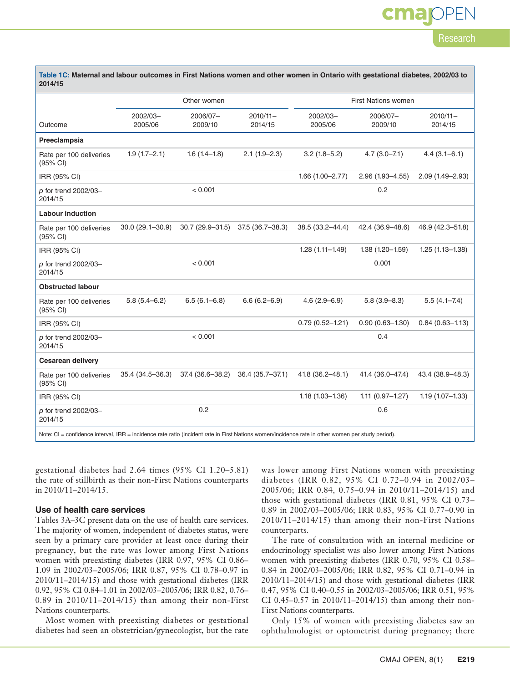# **OPEN** cma Research

| Table 1C: Maternal and labour outcomes in First Nations women and other women in Ontario with gestational diabetes, 2002/03 to<br>2014/15         |                     |                     |                        |                     |                     |                        |  |
|---------------------------------------------------------------------------------------------------------------------------------------------------|---------------------|---------------------|------------------------|---------------------|---------------------|------------------------|--|
|                                                                                                                                                   |                     | Other women         |                        | First Nations women |                     |                        |  |
| Outcome                                                                                                                                           | 2002/03-<br>2005/06 | 2006/07-<br>2009/10 | $2010/11 -$<br>2014/15 | 2002/03-<br>2005/06 | 2006/07-<br>2009/10 | $2010/11 -$<br>2014/15 |  |
| Preeclampsia                                                                                                                                      |                     |                     |                        |                     |                     |                        |  |
| Rate per 100 deliveries<br>(95% CI)                                                                                                               | $1.9(1.7-2.1)$      | $1.6(1.4-1.8)$      | $2.1(1.9-2.3)$         | $3.2(1.8 - 5.2)$    | $4.7(3.0 - 7.1)$    | $4.4(3.1 - 6.1)$       |  |
| IRR (95% CI)                                                                                                                                      |                     |                     |                        | $1.66(1.00 - 2.77)$ | $2.96(1.93 - 4.55)$ | 2.09 (1.49-2.93)       |  |
| p for trend 2002/03-<br>2014/15                                                                                                                   |                     | < 0.001             |                        |                     | 0.2                 |                        |  |
| <b>Labour induction</b>                                                                                                                           |                     |                     |                        |                     |                     |                        |  |
| Rate per 100 deliveries<br>(95% CI)                                                                                                               | $30.0(29.1 - 30.9)$ | $30.7(29.9-31.5)$   | 37.5 (36.7-38.3)       | 38.5 (33.2-44.4)    | 42.4 (36.9–48.6)    | 46.9 (42.3-51.8)       |  |
| IRR (95% CI)                                                                                                                                      |                     |                     |                        | $1.28(1.11 - 1.49)$ | $1.38(1.20 - 1.59)$ | $1.25(1.13 - 1.38)$    |  |
| p for trend 2002/03-<br>2014/15                                                                                                                   |                     | < 0.001             |                        |                     | 0.001               |                        |  |
| <b>Obstructed labour</b>                                                                                                                          |                     |                     |                        |                     |                     |                        |  |
| Rate per 100 deliveries<br>(95% CI)                                                                                                               | $5.8(5.4 - 6.2)$    | $6.5(6.1 - 6.8)$    | $6.6(6.2 - 6.9)$       | $4.6(2.9 - 6.9)$    | $5.8(3.9 - 8.3)$    | $5.5(4.1 - 7.4)$       |  |
| IRR (95% CI)                                                                                                                                      |                     |                     |                        | $0.79(0.52 - 1.21)$ | $0.90(0.63 - 1.30)$ | $0.84(0.63 - 1.13)$    |  |
| p for trend 2002/03-<br>2014/15                                                                                                                   |                     | < 0.001             |                        |                     | 0.4                 |                        |  |
| <b>Cesarean delivery</b>                                                                                                                          |                     |                     |                        |                     |                     |                        |  |
| Rate per 100 deliveries<br>(95% CI)                                                                                                               | 35.4 (34.5-36.3)    | 37.4 (36.6-38.2)    | 36.4 (35.7-37.1)       | 41.8 (36.2-48.1)    | 41.4 (36.0-47.4)    | 43.4 (38.9-48.3)       |  |
| IRR (95% CI)                                                                                                                                      |                     |                     |                        | $1.18(1.03 - 1.36)$ | $1.11(0.97 - 1.27)$ | $1.19(1.07 - 1.33)$    |  |
| p for trend 2002/03-<br>2014/15                                                                                                                   |                     | 0.2                 |                        |                     | 0.6                 |                        |  |
| Note: CI = confidence interval, IRR = incidence rate ratio (incident rate in First Nations women/incidence rate in other women per study period). |                     |                     |                        |                     |                     |                        |  |

gestational diabetes had 2.64 times (95% CI 1.20–5.81) the rate of stillbirth as their non-First Nations counterparts in 2010/11–2014/15.

#### **Use of health care services**

Tables 3A–3C present data on the use of health care services. The majority of women, independent of diabetes status, were seen by a primary care provider at least once during their pregnancy, but the rate was lower among First Nations women with preexisting diabetes (IRR 0.97, 95% CI 0.86– 1.09 in 2002/03–2005/06; IRR 0.87, 95% CI 0.78–0.97 in 2010/11–2014/15) and those with gestational diabetes (IRR 0.92, 95% CI 0.84–1.01 in 2002/03–2005/06; IRR 0.82, 0.76– 0.89 in 2010/11–2014/15) than among their non-First Nations counterparts.

Most women with preexisting diabetes or gestational diabetes had seen an obstetrician/gynecologist, but the rate

was lower among First Nations women with preexisting diabetes (IRR 0.82, 95% CI 0.72–0.94 in 2002/03– 2005/06; IRR 0.84, 0.75–0.94 in 2010/11–2014/15) and those with gestational diabetes (IRR 0.81, 95% CI 0.73– 0.89 in 2002/03–2005/06; IRR 0.83, 95% CI 0.77–0.90 in 2010/11–2014/15) than among their non-First Nations counterparts.

The rate of consultation with an internal medicine or endocrinology specialist was also lower among First Nations women with preexisting diabetes (IRR 0.70, 95% CI 0.58– 0.84 in 2002/03–2005/06; IRR 0.82, 95% CI 0.71–0.94 in 2010/11–2014/15) and those with gestational diabetes (IRR 0.47, 95% CI 0.40–0.55 in 2002/03–2005/06; IRR 0.51, 95% CI 0.45–0.57 in 2010/11–2014/15) than among their non-First Nations counterparts.

Only 15% of women with preexisting diabetes saw an ophthalmologist or optometrist during pregnancy; there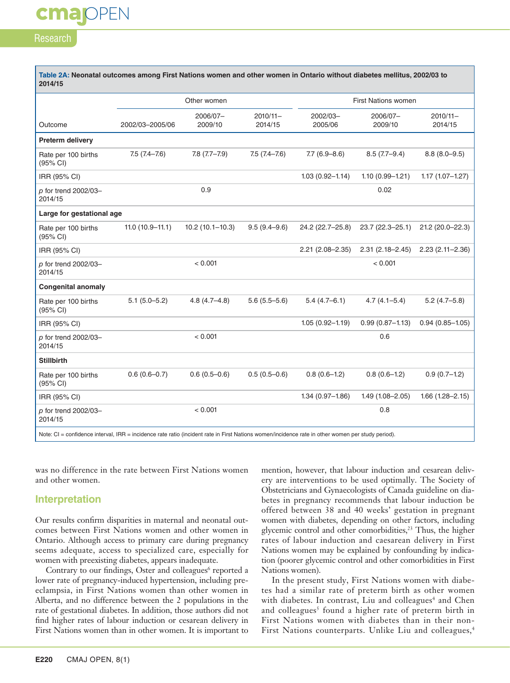# Research

cmapPEN

| Table 2A: Neonatal outcomes among First Nations women and other women in Ontario without diabetes mellitus, 2002/03 to<br>2014/15                 |                   |                     |                        |                     |                     |                        |
|---------------------------------------------------------------------------------------------------------------------------------------------------|-------------------|---------------------|------------------------|---------------------|---------------------|------------------------|
|                                                                                                                                                   |                   | Other women         |                        | First Nations women |                     |                        |
| Outcome                                                                                                                                           | 2002/03-2005/06   | 2006/07-<br>2009/10 | $2010/11 -$<br>2014/15 | 2002/03-<br>2005/06 | 2006/07-<br>2009/10 | $2010/11 -$<br>2014/15 |
| Preterm delivery                                                                                                                                  |                   |                     |                        |                     |                     |                        |
| Rate per 100 births<br>(95% CI)                                                                                                                   | $7.5(7.4 - 7.6)$  | $7.8(7.7-7.9)$      | $7.5(7.4 - 7.6)$       | $7.7(6.9 - 8.6)$    | $8.5(7.7-9.4)$      | $8.8(8.0 - 9.5)$       |
| IRR (95% CI)                                                                                                                                      |                   |                     |                        | $1.03(0.92 - 1.14)$ | $1.10(0.99 - 1.21)$ | $1.17(1.07 - 1.27)$    |
| p for trend 2002/03-<br>2014/15                                                                                                                   |                   | 0.9                 |                        |                     | 0.02                |                        |
| Large for gestational age                                                                                                                         |                   |                     |                        |                     |                     |                        |
| Rate per 100 births<br>(95% CI)                                                                                                                   | $11.0(10.9-11.1)$ | $10.2(10.1 - 10.3)$ | $9.5(9.4 - 9.6)$       | 24.2 (22.7-25.8)    | $23.7(22.3 - 25.1)$ | 21.2 (20.0-22.3)       |
| IRR (95% CI)                                                                                                                                      |                   |                     |                        | $2.21(2.08 - 2.35)$ | $2.31(2.18 - 2.45)$ | $2.23(2.11 - 2.36)$    |
| p for trend 2002/03-<br>2014/15                                                                                                                   |                   | < 0.001             |                        |                     | < 0.001             |                        |
| <b>Congenital anomaly</b>                                                                                                                         |                   |                     |                        |                     |                     |                        |
| Rate per 100 births<br>(95% CI)                                                                                                                   | $5.1(5.0 - 5.2)$  | $4.8(4.7 - 4.8)$    | $5.6(5.5-5.6)$         | $5.4(4.7-6.1)$      | $4.7(4.1 - 5.4)$    | $5.2(4.7-5.8)$         |
| IRR (95% CI)                                                                                                                                      |                   |                     |                        | $1.05(0.92 - 1.19)$ | $0.99(0.87 - 1.13)$ | $0.94(0.85 - 1.05)$    |
| p for trend 2002/03-<br>2014/15                                                                                                                   |                   | < 0.001             |                        |                     | 0.6                 |                        |
| <b>Stillbirth</b>                                                                                                                                 |                   |                     |                        |                     |                     |                        |
| Rate per 100 births<br>(95% CI)                                                                                                                   | $0.6(0.6 - 0.7)$  | $0.6(0.5-0.6)$      | $0.5(0.5-0.6)$         | $0.8(0.6-1.2)$      | $0.8(0.6-1.2)$      | $0.9(0.7-1.2)$         |
| IRR (95% CI)                                                                                                                                      |                   |                     |                        | $1.34(0.97 - 1.86)$ | $1.49(1.08 - 2.05)$ | $1.66(1.28 - 2.15)$    |
| p for trend 2002/03-<br>2014/15                                                                                                                   |                   | < 0.001             |                        |                     | 0.8                 |                        |
| Note: CI = confidence interval, IRR = incidence rate ratio (incident rate in First Nations women/incidence rate in other women per study period). |                   |                     |                        |                     |                     |                        |

was no difference in the rate between First Nations women and other women.

#### **Interpretation**

Our results confirm disparities in maternal and neonatal outcomes between First Nations women and other women in Ontario. Although access to primary care during pregnancy seems adequate, access to specialized care, especially for women with preexisting diabetes, appears inadequate.

Contrary to our findings, Oster and colleagues<sup>6</sup> reported a lower rate of pregnancy-induced hypertension, including preeclampsia, in First Nations women than other women in Alberta, and no difference between the 2 populations in the rate of gestational diabetes. In addition, those authors did not find higher rates of labour induction or cesarean delivery in First Nations women than in other women. It is important to

mention, however, that labour induction and cesarean delivery are interventions to be used optimally. The Society of Obstetricians and Gynaecologists of Canada guideline on diabetes in pregnancy recommends that labour induction be offered between 38 and 40 weeks' gestation in pregnant women with diabetes, depending on other factors, including glycemic control and other comorbidities,<sup>23</sup> Thus, the higher rates of labour induction and caesarean delivery in First Nations women may be explained by confounding by indication (poorer glycemic control and other comorbidities in First Nations women).

In the present study, First Nations women with diabetes had a similar rate of preterm birth as other women with diabetes. In contrast, Liu and colleagues<sup>4</sup> and Chen and colleagues<sup>5</sup> found a higher rate of preterm birth in First Nations women with diabetes than in their non-First Nations counterparts. Unlike Liu and colleagues,<sup>4</sup>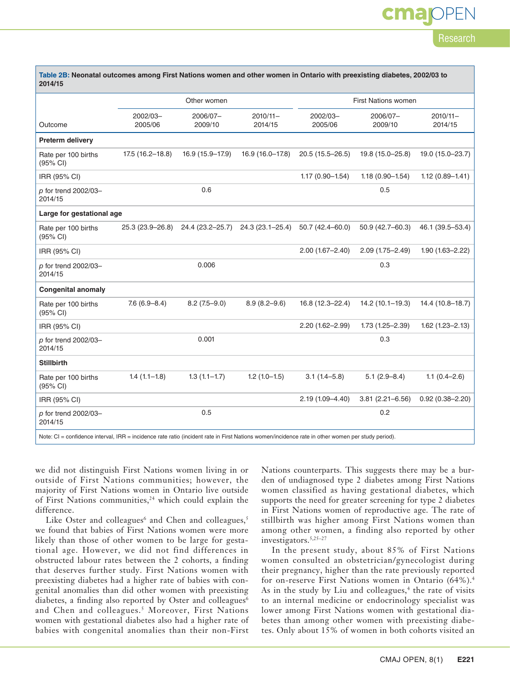# **OPEN** cma Research

| Table 2B: Neonatal outcomes among First Nations women and other women in Ontario with preexisting diabetes, 2002/03 to<br>2014/15                 |                     |                     |                        |                            |                     |                        |
|---------------------------------------------------------------------------------------------------------------------------------------------------|---------------------|---------------------|------------------------|----------------------------|---------------------|------------------------|
|                                                                                                                                                   |                     | Other women         |                        | <b>First Nations women</b> |                     |                        |
| Outcome                                                                                                                                           | 2002/03-<br>2005/06 | 2006/07-<br>2009/10 | $2010/11 -$<br>2014/15 | 2002/03-<br>2005/06        | 2006/07-<br>2009/10 | $2010/11 -$<br>2014/15 |
| Preterm delivery                                                                                                                                  |                     |                     |                        |                            |                     |                        |
| Rate per 100 births<br>(95% CI)                                                                                                                   | $17.5(16.2 - 18.8)$ | 16.9 (15.9-17.9)    | 16.9 (16.0-17.8)       | $20.5(15.5 - 26.5)$        | 19.8 (15.0-25.8)    | 19.0 (15.0-23.7)       |
| IRR (95% CI)                                                                                                                                      |                     |                     |                        | $1.17(0.90 - 1.54)$        | $1.18(0.90 - 1.54)$ | $1.12(0.89 - 1.41)$    |
| p for trend 2002/03-<br>2014/15                                                                                                                   |                     | 0.6                 |                        |                            | 0.5                 |                        |
| Large for gestational age                                                                                                                         |                     |                     |                        |                            |                     |                        |
| Rate per 100 births<br>(95% CI)                                                                                                                   | 25.3 (23.9–26.8)    | 24.4 (23.2-25.7)    | 24.3 (23.1-25.4)       | $50.7(42.4 - 60.0)$        | 50.9 (42.7-60.3)    | 46.1 (39.5-53.4)       |
| IRR (95% CI)                                                                                                                                      |                     |                     |                        | $2.00(1.67 - 2.40)$        | $2.09(1.75 - 2.49)$ | $1.90(1.63 - 2.22)$    |
| p for trend 2002/03-<br>2014/15                                                                                                                   |                     | 0.006               |                        |                            | 0.3                 |                        |
| <b>Congenital anomaly</b>                                                                                                                         |                     |                     |                        |                            |                     |                        |
| Rate per 100 births<br>(95% CI)                                                                                                                   | $7.6(6.9 - 8.4)$    | $8.2(7.5-9.0)$      | $8.9(8.2 - 9.6)$       | 16.8 (12.3-22.4)           | $14.2(10.1 - 19.3)$ | 14.4 (10.8-18.7)       |
| IRR (95% CI)                                                                                                                                      |                     |                     |                        | 2.20 (1.62-2.99)           | $1.73(1.25 - 2.39)$ | $1.62$ (1.23-2.13)     |
| p for trend 2002/03-<br>2014/15                                                                                                                   |                     | 0.001               |                        |                            | 0.3                 |                        |
| <b>Stillbirth</b>                                                                                                                                 |                     |                     |                        |                            |                     |                        |
| Rate per 100 births<br>(95% CI)                                                                                                                   | $1.4(1.1-1.8)$      | $1.3(1.1 - 1.7)$    | $1.2(1.0-1.5)$         | $3.1(1.4 - 5.8)$           | $5.1(2.9 - 8.4)$    | $1.1(0.4 - 2.6)$       |
| IRR (95% CI)                                                                                                                                      |                     |                     |                        | $2.19(1.09 - 4.40)$        | $3.81(2.21 - 6.56)$ | $0.92(0.38 - 2.20)$    |
| p for trend 2002/03-<br>2014/15                                                                                                                   |                     | 0.5                 |                        |                            | 0.2                 |                        |
| Note: CI = confidence interval, IRR = incidence rate ratio (incident rate in First Nations women/incidence rate in other women per study period). |                     |                     |                        |                            |                     |                        |

we did not distinguish First Nations women living in or outside of First Nations communities; however, the majority of First Nations women in Ontario live outside of First Nations communities,<sup>24</sup> which could explain the difference.

Like Oster and colleagues<sup>6</sup> and Chen and colleagues,<sup>5</sup> we found that babies of First Nations women were more likely than those of other women to be large for gestational age. However, we did not find differences in obstructed labour rates between the 2 cohorts, a finding that deserves further study. First Nations women with preexisting diabetes had a higher rate of babies with congenital anomalies than did other women with preexisting diabetes, a finding also reported by Oster and colleagues<sup>6</sup> and Chen and colleagues.<sup>5</sup> Moreover, First Nations women with gestational diabetes also had a higher rate of babies with congenital anomalies than their non-First

Nations counterparts. This suggests there may be a burden of undiagnosed type 2 diabetes among First Nations women classified as having gestational diabetes, which supports the need for greater screening for type 2 diabetes in First Nations women of reproductive age. The rate of stillbirth was higher among First Nations women than among other women, a finding also reported by other investigators.5,25–27

In the present study, about 85% of First Nations women consulted an obstetrician/gynecologist during their pregnancy, higher than the rate previously reported for on-reserve First Nations women in Ontario (64%).4 As in the study by Liu and colleagues,<sup>4</sup> the rate of visits to an internal medicine or endocrinology specialist was lower among First Nations women with gestational diabetes than among other women with preexisting diabetes. Only about 15% of women in both cohorts visited an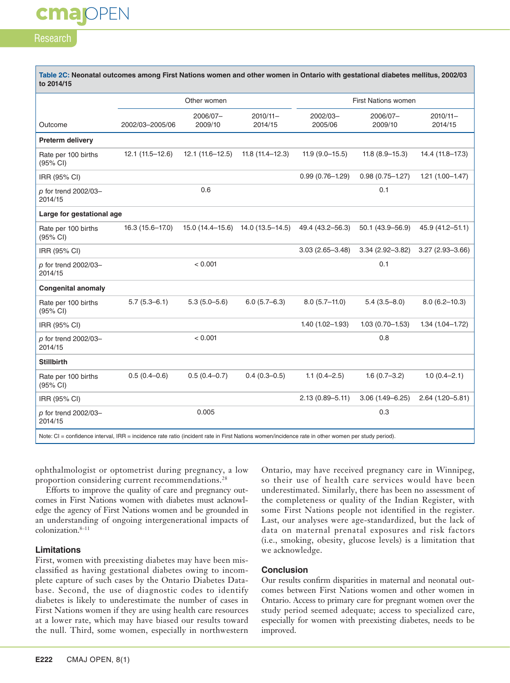# Research

cmapPEN

| Table 2C: Neonatal outcomes among First Nations women and other women in Ontario with gestational diabetes mellitus, 2002/03<br>to 2014/15        |                   |                     |                                     |                     |                     |                        |
|---------------------------------------------------------------------------------------------------------------------------------------------------|-------------------|---------------------|-------------------------------------|---------------------|---------------------|------------------------|
|                                                                                                                                                   |                   | Other women         |                                     | First Nations women |                     |                        |
| Outcome                                                                                                                                           | 2002/03-2005/06   | 2006/07-<br>2009/10 | $2010/11 -$<br>2014/15              | 2002/03-<br>2005/06 | 2006/07-<br>2009/10 | $2010/11 -$<br>2014/15 |
| Preterm delivery                                                                                                                                  |                   |                     |                                     |                     |                     |                        |
| Rate per 100 births<br>(95% CI)                                                                                                                   | $12.1(11.5-12.6)$ | $12.1(11.6 - 12.5)$ | $11.8(11.4 - 12.3)$                 | $11.9(9.0-15.5)$    | $11.8(8.9 - 15.3)$  | 14.4 (11.8-17.3)       |
| IRR (95% CI)                                                                                                                                      |                   |                     |                                     | $0.99(0.76 - 1.29)$ | $0.98(0.75 - 1.27)$ | $1.21(1.00 - 1.47)$    |
| p for trend 2002/03-<br>2014/15                                                                                                                   |                   | 0.6                 |                                     |                     | 0.1                 |                        |
| Large for gestational age                                                                                                                         |                   |                     |                                     |                     |                     |                        |
| Rate per 100 births<br>(95% CI)                                                                                                                   | 16.3 (15.6-17.0)  |                     | $15.0(14.4-15.6)$ $14.0(13.5-14.5)$ | 49.4 (43.2–56.3)    | $50.1(43.9 - 56.9)$ | 45.9 (41.2-51.1)       |
| IRR (95% CI)                                                                                                                                      |                   |                     |                                     | $3.03(2.65 - 3.48)$ | $3.34(2.92 - 3.82)$ | $3.27(2.93 - 3.66)$    |
| p for trend 2002/03-<br>2014/15                                                                                                                   |                   | < 0.001             |                                     |                     | 0.1                 |                        |
| <b>Congenital anomaly</b>                                                                                                                         |                   |                     |                                     |                     |                     |                        |
| Rate per 100 births<br>(95% CI)                                                                                                                   | $5.7(5.3 - 6.1)$  | $5.3(5.0 - 5.6)$    | $6.0(5.7 - 6.3)$                    | $8.0(5.7-11.0)$     | $5.4(3.5 - 8.0)$    | $8.0(6.2 - 10.3)$      |
| IRR (95% CI)                                                                                                                                      |                   |                     |                                     | $1.40(1.02 - 1.93)$ | $1.03(0.70 - 1.53)$ | $1.34(1.04 - 1.72)$    |
| p for trend 2002/03-<br>2014/15                                                                                                                   |                   | < 0.001             |                                     |                     | 0.8                 |                        |
| <b>Stillbirth</b>                                                                                                                                 |                   |                     |                                     |                     |                     |                        |
| Rate per 100 births<br>(95% CI)                                                                                                                   | $0.5(0.4-0.6)$    | $0.5(0.4 - 0.7)$    | $0.4(0.3 - 0.5)$                    | $1.1(0.4 - 2.5)$    | $1.6(0.7 - 3.2)$    | $1.0(0.4 - 2.1)$       |
| IRR (95% CI)                                                                                                                                      |                   |                     |                                     | $2.13(0.89 - 5.11)$ | $3.06(1.49 - 6.25)$ | $2.64(1.20 - 5.81)$    |
| p for trend 2002/03-<br>2014/15                                                                                                                   |                   | 0.005               |                                     |                     | 0.3                 |                        |
| Note: CI = confidence interval, IRR = incidence rate ratio (incident rate in First Nations women/incidence rate in other women per study period). |                   |                     |                                     |                     |                     |                        |

ophthalmologist or optometrist during pregnancy, a low proportion considering current recommendations.<sup>28</sup>

Efforts to improve the quality of care and pregnancy outcomes in First Nations women with diabetes must acknowledge the agency of First Nations women and be grounded in an understanding of ongoing intergenerational impacts of colonization.8–11

#### **Limitations**

First, women with preexisting diabetes may have been misclassified as having gestational diabetes owing to incomplete capture of such cases by the Ontario Diabetes Database. Second, the use of diagnostic codes to identify diabetes is likely to underestimate the number of cases in First Nations women if they are using health care resources at a lower rate, which may have biased our results toward the null. Third, some women, especially in northwestern

Ontario, may have received pregnancy care in Winnipeg, so their use of health care services would have been underestimated. Similarly, there has been no assessment of the completeness or quality of the Indian Register, with some First Nations people not identified in the register. Last, our analyses were age-standardized, but the lack of data on maternal prenatal exposures and risk factors (i.e., smoking, obesity, glucose levels) is a limitation that we acknowledge.

#### **Conclusion**

Our results confirm disparities in maternal and neonatal outcomes between First Nations women and other women in Ontario. Access to primary care for pregnant women over the study period seemed adequate; access to specialized care, especially for women with preexisting diabetes, needs to be improved.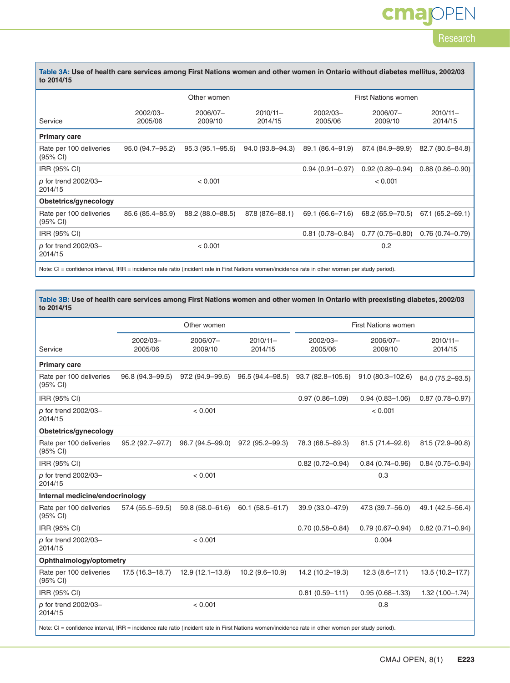# cmajOPEN

Research

| Table 3A: Use of health care services among First Nations women and other women in Ontario without diabetes mellitus, 2002/03 |  |
|-------------------------------------------------------------------------------------------------------------------------------|--|
| to 2014/15                                                                                                                    |  |

|                                                                                                                                                   |                     | Other women         |                        | <b>First Nations women</b> |                     |                        |  |
|---------------------------------------------------------------------------------------------------------------------------------------------------|---------------------|---------------------|------------------------|----------------------------|---------------------|------------------------|--|
| Service                                                                                                                                           | 2002/03-<br>2005/06 | 2006/07-<br>2009/10 | $2010/11 -$<br>2014/15 | 2002/03-<br>2005/06        | 2006/07-<br>2009/10 | $2010/11 -$<br>2014/15 |  |
| <b>Primary care</b>                                                                                                                               |                     |                     |                        |                            |                     |                        |  |
| Rate per 100 deliveries<br>(95% CI)                                                                                                               | 95.0 (94.7-95.2)    | $95.3(95.1 - 95.6)$ | 94.0 (93.8–94.3)       | 89.1 (86.4-91.9)           | 87.4 (84.9–89.9)    | 82.7 (80.5-84.8)       |  |
| IRR (95% CI)                                                                                                                                      |                     |                     |                        | $0.94(0.91 - 0.97)$        | $0.92(0.89 - 0.94)$ | $0.88(0.86 - 0.90)$    |  |
| $p$ for trend 2002/03-<br>2014/15                                                                                                                 |                     | < 0.001             |                        |                            | < 0.001             |                        |  |
| Obstetrics/gynecology                                                                                                                             |                     |                     |                        |                            |                     |                        |  |
| Rate per 100 deliveries<br>(95% CI)                                                                                                               | 85.6 (85.4-85.9)    | 88.2 (88.0–88.5)    | 87.8 (87.6-88.1)       | 69.1 (66.6-71.6)           | 68.2 (65.9-70.5)    | $67.1(65.2 - 69.1)$    |  |
| IRR (95% CI)                                                                                                                                      |                     |                     |                        | $0.81(0.78 - 0.84)$        | $0.77(0.75 - 0.80)$ | $0.76(0.74 - 0.79)$    |  |
| $p$ for trend 2002/03-<br>2014/15                                                                                                                 |                     | < 0.001             |                        |                            | 0.2                 |                        |  |
| Note: CI = confidence interval, IRR = incidence rate ratio (incident rate in First Nations women/incidence rate in other women per study period). |                     |                     |                        |                            |                     |                        |  |

**Table 3B: Use of health care services among First Nations women and other women in Ontario with preexisting diabetes, 2002/03 to 2014/15**

|                                                                                                                                                   | Other women         |                     |                        | First Nations women |                      |                        |  |  |
|---------------------------------------------------------------------------------------------------------------------------------------------------|---------------------|---------------------|------------------------|---------------------|----------------------|------------------------|--|--|
| Service                                                                                                                                           | 2002/03-<br>2005/06 | 2006/07-<br>2009/10 | $2010/11 -$<br>2014/15 | 2002/03-<br>2005/06 | 2006/07-<br>2009/10  | $2010/11 -$<br>2014/15 |  |  |
| <b>Primary care</b>                                                                                                                               |                     |                     |                        |                     |                      |                        |  |  |
| Rate per 100 deliveries<br>(95% CI)                                                                                                               | 96.8 (94.3-99.5)    | 97.2 (94.9-99.5)    | 96.5 (94.4–98.5)       | 93.7 (82.8-105.6)   | $91.0(80.3 - 102.6)$ | 84.0 (75.2-93.5)       |  |  |
| IRR (95% CI)                                                                                                                                      |                     |                     |                        | $0.97(0.86 - 1.09)$ | $0.94(0.83 - 1.06)$  | $0.87(0.78 - 0.97)$    |  |  |
| p for trend 2002/03-<br>2014/15                                                                                                                   |                     | < 0.001             |                        |                     | < 0.001              |                        |  |  |
| Obstetrics/gynecology                                                                                                                             |                     |                     |                        |                     |                      |                        |  |  |
| Rate per 100 deliveries<br>(95% CI)                                                                                                               | 95.2 (92.7-97.7)    | 96.7 (94.5-99.0)    | 97.2 (95.2-99.3)       | 78.3 (68.5-89.3)    | 81.5 (71.4-92.6)     | 81.5 (72.9-90.8)       |  |  |
| IRR (95% CI)                                                                                                                                      |                     |                     |                        | $0.82(0.72 - 0.94)$ | $0.84(0.74 - 0.96)$  | $0.84(0.75 - 0.94)$    |  |  |
| p for trend 2002/03-<br>2014/15                                                                                                                   |                     | < 0.001             |                        |                     | 0.3                  |                        |  |  |
| Internal medicine/endocrinology                                                                                                                   |                     |                     |                        |                     |                      |                        |  |  |
| Rate per 100 deliveries<br>(95% CI)                                                                                                               | 57.4 (55.5-59.5)    | 59.8 (58.0-61.6)    | 60.1 (58.5-61.7)       | 39.9 (33.0-47.9)    | 47.3 (39.7-56.0)     | 49.1 (42.5-56.4)       |  |  |
| IRR (95% CI)                                                                                                                                      |                     |                     |                        | $0.70(0.58 - 0.84)$ | $0.79(0.67 - 0.94)$  | $0.82(0.71 - 0.94)$    |  |  |
| p for trend 2002/03-<br>2014/15                                                                                                                   |                     | < 0.001             |                        |                     | 0.004                |                        |  |  |
| Ophthalmology/optometry                                                                                                                           |                     |                     |                        |                     |                      |                        |  |  |
| Rate per 100 deliveries<br>(95% CI)                                                                                                               | $17.5(16.3 - 18.7)$ | $12.9(12.1 - 13.8)$ | $10.2(9.6 - 10.9)$     | 14.2 (10.2-19.3)    | $12.3(8.6 - 17.1)$   | 13.5 (10.2-17.7)       |  |  |
| IRR (95% CI)                                                                                                                                      |                     |                     |                        | $0.81(0.59 - 1.11)$ | $0.95(0.68 - 1.33)$  | $1.32(1.00 - 1.74)$    |  |  |
| p for trend 2002/03-<br>2014/15                                                                                                                   |                     | < 0.001             |                        |                     | 0.8                  |                        |  |  |
| Note: CI = confidence interval, IRR = incidence rate ratio (incident rate in First Nations women/incidence rate in other women per study period). |                     |                     |                        |                     |                      |                        |  |  |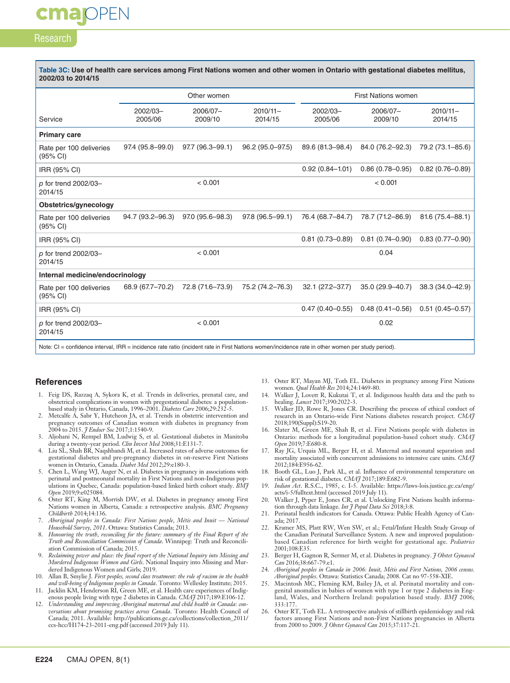## Research

**majopen** 

| Table 3C: Use of health care services among First Nations women and other women in Ontario with gestational diabetes mellitus,<br>2002/03 to 2014/15 |                     |                     |                        |                            |                     |                        |
|------------------------------------------------------------------------------------------------------------------------------------------------------|---------------------|---------------------|------------------------|----------------------------|---------------------|------------------------|
|                                                                                                                                                      |                     | Other women         |                        | <b>First Nations women</b> |                     |                        |
| Service                                                                                                                                              | 2002/03-<br>2005/06 | 2006/07-<br>2009/10 | $2010/11 -$<br>2014/15 | 2002/03-<br>2005/06        | 2006/07-<br>2009/10 | $2010/11 -$<br>2014/15 |
| <b>Primary care</b>                                                                                                                                  |                     |                     |                        |                            |                     |                        |
| Rate per 100 deliveries<br>(95% CI)                                                                                                                  | 97.4 (95.8-99.0)    | 97.7 (96.3-99.1)    | 96.2 (95.0-97.5)       | 89.6 (81.3-98.4)           | 84.0 (76.2-92.3)    | 79.2 (73.1-85.6)       |
| IRR (95% CI)                                                                                                                                         |                     |                     |                        | $0.92(0.84 - 1.01)$        | $0.86(0.78 - 0.95)$ | $0.82(0.76 - 0.89)$    |
| p for trend 2002/03-<br>2014/15                                                                                                                      |                     | < 0.001             |                        |                            | < 0.001             |                        |
| Obstetrics/gynecology                                                                                                                                |                     |                     |                        |                            |                     |                        |
| Rate per 100 deliveries<br>(95% CI)                                                                                                                  | 94.7 (93.2-96.3)    | 97.0 (95.6-98.3)    | 97.8 (96.5-99.1)       | 76.4 (68.7-84.7)           | 78.7 (71.2-86.9)    | 81.6 (75.4-88.1)       |
| IRR (95% CI)                                                                                                                                         |                     |                     |                        | $0.81(0.73 - 0.89)$        | $0.81(0.74 - 0.90)$ | $0.83(0.77-0.90)$      |
| p for trend 2002/03-<br>2014/15                                                                                                                      |                     | < 0.001             |                        |                            | 0.04                |                        |
| Internal medicine/endocrinology                                                                                                                      |                     |                     |                        |                            |                     |                        |
| Rate per 100 deliveries<br>$(95% \text{ Cl})$                                                                                                        | 68.9 (67.7-70.2)    | 72.8 (71.6-73.9)    | 75.2 (74.2-76.3)       | 32.1 (27.2-37.7)           | 35.0 (29.9-40.7)    | 38.3 (34.0-42.9)       |
| IRR (95% CI)                                                                                                                                         |                     |                     |                        | $0.47(0.40 - 0.55)$        | $0.48(0.41 - 0.56)$ | $0.51(0.45 - 0.57)$    |
| p for trend 2002/03-<br>2014/15                                                                                                                      |                     | < 0.001             |                        |                            | 0.02                |                        |
| Note: CI = confidence interval, IRR = incidence rate ratio (incident rate in First Nations women/incidence rate in other women per study period).    |                     |                     |                        |                            |                     |                        |

#### **References**

- 1. Feig DS, Razzaq A, Sykora K, et al. Trends in deliveries, prenatal care, and obstetrical complications in women with pregestational diabetes: a populationbased study in Ontario, Canada, 1996–2001. *Diabetes Care* 2006;29:232-5.
- 2. Metcalfe A, Sabr Y, Hutcheon JA, et al. Trends in obstetric intervention and pregnancy outcomes of Canadian women with diabetes in pregnancy from 2004 to 2015. *J Endocr Soc* 2017;1:1540-9.
- 3. Aljohani N, Rempel BM, Ludwig S, et al. Gestational diabetes in Manitoba during a twenty-year period. *Clin Invest Med* 2008;31:E131-7.
- Liu SL, Shah BR, Naqshbandi M, et al. Increased rates of adverse outcomes for gestational diabetes and pre-pregnancy diabetes in on-reserve First Nations women in Ontario, Canada. *Diabet Med* 2012;29:e180-3.
- 5. Chen L, Wang WJ, Auger N, et al. Diabetes in pregnancy in associations with perinatal and postneonatal mortality in First Nations and non-Indigenous populations in Quebec, Canada: population-based linked birth cohort study. *BMJ Open* 2019;9:e025084.
- 6. Oster RT, King M, Morrish DW, et al. Diabetes in pregnancy among First Nations women in Alberta, Canada: a retrospective analysis. *BMC Pregnancy Childbirth* 2014;14:136.
- 7. *Aboriginal peoples in Canada: First Nations people, Métis and Inuit National Household Survey, 2011*. Ottawa: Statistics Canada; 2013.
- 8. *Honouring the truth, reconciling for the future: summary of the Final Report of the Truth and Reconciliation Commission of Canada*. Winnipeg: Truth and Reconciliation Commission of Canada; 2015.
- 9. *Reclaiming power and place: the final report of the National Inquiry into Missing and Murdered Indigenous Women and Girls*. National Inquiry into Missing and Murdered Indigenous Women and Girls; 2019.
- 10. Allan B, Smylie J. *First peoples, second class treatment: the role of racism in the health and well-being of Indigenous peoples in Canada*. Toronto: Wellesley Institute; 2015.
- 11. Jacklin KM, Henderson RI, Green ME, et al. Health care experiences of Indigenous people living with type 2 diabetes in Canada. *CMAJ* 2017;189:E106-12.
- 12. *Understanding and improving Aboriginal maternal and child health in Canada: conversations about promising practices across Canada*. Toronto: Health Council of Canada; 2011. Available: http://publications.gc.ca/collections/collection\_2011/ ccs-hcc/H174-23-2011-eng.pdf (accessed 2019 July 11).
- 13. Oster RT, Mayan MJ, Toth EL. Diabetes in pregnancy among First Nations women. *Qual Health Res* 2014;24:1469-80.
- 14. Walker J, Lovett R, Kukutai T, et al. Indigenous health data and the path to healing. *Lancet* 2017;390:2022-3.
- 15. Walker JD, Rowe R, Jones CR. Describing the process of ethical conduct of research in an Ontario-wide First Nations diabetes research project. *CMAJ* 2018;190(Suppl):S19-20.
- 16. Slater M, Green ME, Shah B, et al. First Nations people with diabetes in Ontario: methods for a longitudinal population-based cohort study. *CMAJ Open* 2019;7:E680-8.
- 17. Ray JG, Urquia ML, Berger H, et al. Maternal and neonatal separation and mortality associated with concurrent admissions to intensive care units. *CMAJ* 2012;184:E956-62.
- 18. Booth GL, Luo J, Park AL, et al. Influence of environmental temperature on risk of gestational diabetes. *CMAJ* 2017;189:E682-9.
- 19. *Indian Act*. R.S.C., 1985, c. I-5. Available: https://laws-lois.justice.gc.ca/eng/ acts/i-5/fulltext.html (accessed 2019 July 11).
- 20. Walker J, Pyper E, Jones CR, et al. Unlocking First Nations health information through data linkage. *Int J Popul Data Sci* 2018;3:8.
- 21. Perinatal health indicators for Canada. Ottawa: Public Health Agency of Canada; 2017.
- 22. Kramer MS, Platt RW, Wen SW, et al.; Fetal/Infant Health Study Group of the Canadian Perinatal Surveillance System. A new and improved populationbased Canadian reference for birth weight for gestational age. *Pediatrics* 2001;108:E35.
- 23. Berger H, Gagnon R, Sermer M, et al. Diabetes in pregnancy. *J Obstet Gynaecol Can* 2016;38:667-79.e1.
- 24. *Aboriginal peoples in Canada in 2006: Inuit, Métis and First Nations, 2006 census. Aboriginal peoples*. Ottawa: Statistics Canada; 2008. Cat no 97-558-XIE.
- 25. Macintosh MC, Fleming KM, Bailey JA, et al. Perinatal mortality and congenital anomalies in babies of women with type 1 or type 2 diabetes in England, Wales, and Northern Ireland: population based study. *BMJ* 2006; 333:177.
- 26. Oster RT, Toth EL. A retrospective analysis of stillbirth epidemiology and risk factors among First Nations and non-First Nations pregnancies in Alberta from 2000 to 2009. *J Obstet Gynaecol Can* 2015;37:117-21.